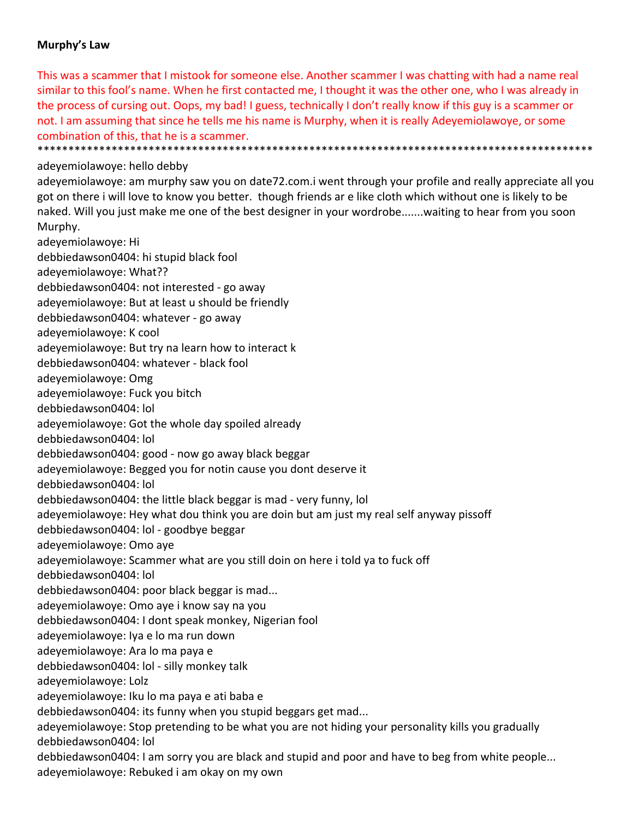## **Murphy's Law**

This was a scammer that I mistook for someone else. Another scammer I was chatting with had a name real similar to this fool's name. When he first contacted me, I thought it was the other one, who I was already in the process of cursing out. Oops, my bad! I guess, technically I don't really know if this guy is a scammer or not. I am assuming that since he tells me his name is Murphy, when it is really Adeyemiolawoye, or some combination of this, that he is a scammer. \*\*\*\*\*\*\*\*\*\*\*\*\*\*\*\*\*\*\*\*\*\*\*\*\*\*\*\*\*\*\*\*\*\*\*\*\*\*\*\*\*\*\*\*\*\*\*\*\*\*\*\*\*\*\*\*\*\*\*\*\*\*\*\*\*\*\*\*\*\*\*\*\*\*\*\*\*\*\*\*\*\*\*\*\*\*\*\*\*\*

## adeyemiolawoye: hello debby

adeyemiolawoye: am murphy saw you on date72.com.i went through your profile and really appreciate all you got on there i will love to know you better. though friends ar e like cloth which without one is likely to be naked. Will you just make me one of the best designer in your wordrobe.......waiting to hear from you soon Murphy.

adeyemiolawoye: Hi debbiedawson0404: hi stupid black fool adeyemiolawoye: What?? debbiedawson0404: not interested ‐ go away adeyemiolawoye: But at least u should be friendly debbiedawson0404: whatever ‐ go away adeyemiolawoye: K cool adeyemiolawoye: But try na learn how to interact k debbiedawson0404: whatever ‐ black fool adeyemiolawoye: Omg adeyemiolawoye: Fuck you bitch debbiedawson0404: lol adeyemiolawoye: Got the whole day spoiled already debbiedawson0404: lol debbiedawson0404: good ‐ now go away black beggar adeyemiolawoye: Begged you for notin cause you dont deserve it debbiedawson0404: lol debbiedawson0404: the little black beggar is mad ‐ very funny, lol adeyemiolawoye: Hey what dou think you are doin but am just my real self anyway pissoff debbiedawson0404: lol ‐ goodbye beggar adeyemiolawoye: Omo aye adeyemiolawoye: Scammer what are you still doin on here i told ya to fuck off debbiedawson0404: lol debbiedawson0404: poor black beggar is mad... adeyemiolawoye: Omo aye i know say na you debbiedawson0404: I dont speak monkey, Nigerian fool adeyemiolawoye: Iya e lo ma run down adeyemiolawoye: Ara lo ma paya e debbiedawson0404: lol ‐ silly monkey talk adeyemiolawoye: Lolz adeyemiolawoye: Iku lo ma paya e ati baba e debbiedawson0404: its funny when you stupid beggars get mad... adeyemiolawoye: Stop pretending to be what you are not hiding your personality kills you gradually debbiedawson0404: lol debbiedawson0404: I am sorry you are black and stupid and poor and have to beg from white people... adeyemiolawoye: Rebuked i am okay on my own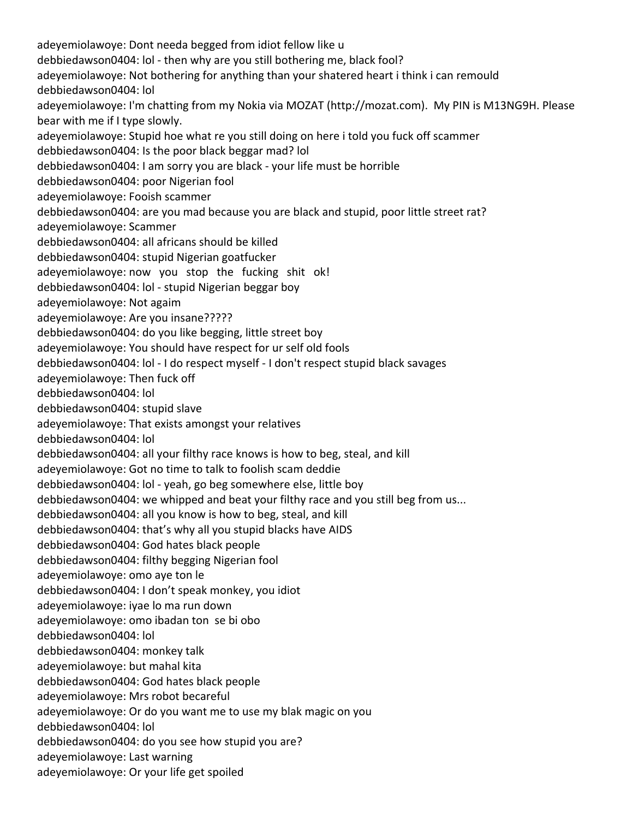adeyemiolawoye: Dont needa begged from idiot fellow like u debbiedawson0404: lol ‐ then why are you still bothering me, black fool? adeyemiolawoye: Not bothering for anything than your shatered heart i think i can remould debbiedawson0404: lol adeyemiolawoye: I'm chatting from my Nokia via MOZAT (http://mozat.com). My PIN is M13NG9H. Please bear with me if I type slowly. adeyemiolawoye: Stupid hoe what re you still doing on here i told you fuck off scammer debbiedawson0404: Is the poor black beggar mad? lol debbiedawson0404: I am sorry you are black ‐ your life must be horrible debbiedawson0404: poor Nigerian fool adeyemiolawoye: Fooish scammer debbiedawson0404: are you mad because you are black and stupid, poor little street rat? adeyemiolawoye: Scammer debbiedawson0404: all africans should be killed debbiedawson0404: stupid Nigerian goatfucker adeyemiolawoye: now you stop the fucking shit ok! debbiedawson0404: lol ‐ stupid Nigerian beggar boy adeyemiolawoye: Not agaim adeyemiolawoye: Are you insane????? debbiedawson0404: do you like begging, little street boy adeyemiolawoye: You should have respect for ur self old fools debbiedawson0404: lol ‐ I do respect myself ‐ I don't respect stupid black savages adeyemiolawoye: Then fuck off debbiedawson0404: lol debbiedawson0404: stupid slave adeyemiolawoye: That exists amongst your relatives debbiedawson0404: lol debbiedawson0404: all your filthy race knows is how to beg, steal, and kill adeyemiolawoye: Got no time to talk to foolish scam deddie debbiedawson0404: lol ‐ yeah, go beg somewhere else, little boy debbiedawson0404: we whipped and beat your filthy race and you still beg from us... debbiedawson0404: all you know is how to beg, steal, and kill debbiedawson0404: that's why all you stupid blacks have AIDS debbiedawson0404: God hates black people debbiedawson0404: filthy begging Nigerian fool adeyemiolawoye: omo aye ton le debbiedawson0404: I don't speak monkey, you idiot adeyemiolawoye: iyae lo ma run down adeyemiolawoye: omo ibadan ton se bi obo debbiedawson0404: lol debbiedawson0404: monkey talk adeyemiolawoye: but mahal kita debbiedawson0404: God hates black people adeyemiolawoye: Mrs robot becareful adeyemiolawoye: Or do you want me to use my blak magic on you debbiedawson0404: lol debbiedawson0404: do you see how stupid you are? adeyemiolawoye: Last warning adeyemiolawoye: Or your life get spoiled